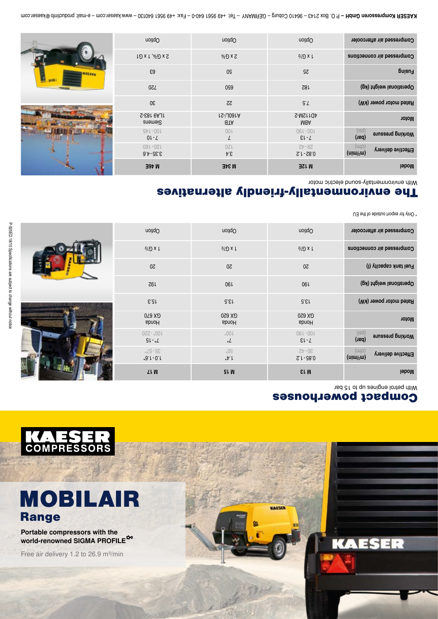

# MOBILAIR Range

Portable compressors with the world-renowned SIGMA PROFILE<sup>O</sup>

Free air delivery 1.2 to 26.9 m<sup>3</sup>/min

**NAESER** 

**KAESER**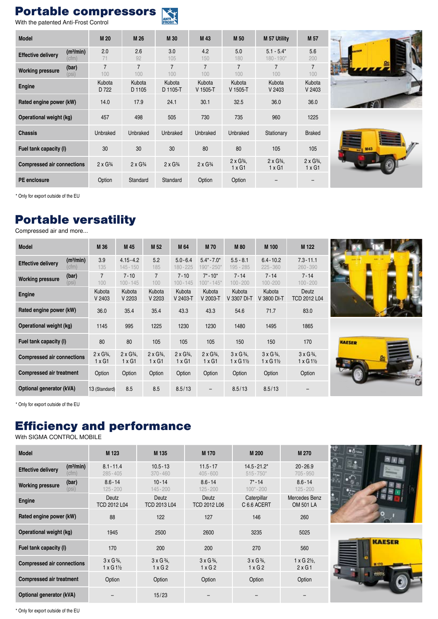#### Portable compressors

With the patented Anti-Frost Control

| <b>Model</b>                      |                                | M 20                  | M 26                  | M 30                  | M 43                  | M <sub>50</sub>                   | <b>M 57 Utility</b>               | M 57                              |  |
|-----------------------------------|--------------------------------|-----------------------|-----------------------|-----------------------|-----------------------|-----------------------------------|-----------------------------------|-----------------------------------|--|
| <b>Effective delivery</b>         | (m <sup>3</sup> /min)<br>(cfm) | 2.0<br>71             | 2.6<br>92             | 3.0<br>105            | 4.2<br>150            | 5.0<br>180                        | $5.1 - 5.4*$<br>$180 - 190*$      | 5.6<br>200                        |  |
| <b>Working pressure</b>           | (bar)<br>(psi)                 | $\overline{7}$<br>100 | $\overline{7}$<br>100 | $\overline{7}$<br>100 | $\overline{7}$<br>100 | $\overline{7}$<br>100             | 7<br>$100 -$                      | $\overline{7}$<br>100             |  |
| <b>Engine</b>                     |                                | Kubota<br>D 722       | Kubota<br>D 1105      | Kubota<br>D 1105-T    | Kubota<br>$V$ 1505-T  | Kubota<br>$V$ 1505-T              | Kubota<br>V 2403                  | Kubota<br>V 2403                  |  |
| Rated engine power (kW)           |                                | 14.0                  | 17.9                  | 24.1                  | 30.1                  | 32.5                              | 36.0                              | 36.0                              |  |
| Operational weight (kg)           |                                | 457                   | 498                   | 505                   | 730                   | 735                               | 960                               | 1225                              |  |
| <b>Chassis</b>                    |                                | Unbraked              | Unbraked              | Unbraked              | Unbraked              | Unbraked                          | Stationary                        | <b>Braked</b>                     |  |
| Fuel tank capacity (I)            |                                | 30                    | 30                    | 30                    | 80                    | 80                                | 105                               | 105                               |  |
| <b>Compressed air connections</b> |                                | $2 \times G3$ 4       | $2 \times G_{4}$      | $2 \times G_{4}$      | $2 \times G3$         | $2 \times G_{4}$<br>$1 \times G1$ | $2 \times G_{4}$<br>$1 \times G1$ | $2 \times G_{4}$<br>$1 \times G1$ |  |
| <b>PE</b> enclosure               |                                | Option                | Standard              | Standard              | Option                | Option                            |                                   |                                   |  |





\* Only for export outside of the EU

### Portable versatility

Compressed air and more...

| <b>Model</b>                      |                                | M 36                              | M 45                                | M <sub>52</sub>                     | M 64                                | <b>M70</b>                          | <b>M80</b>                                      | M 100                                                    | M 122                                      |
|-----------------------------------|--------------------------------|-----------------------------------|-------------------------------------|-------------------------------------|-------------------------------------|-------------------------------------|-------------------------------------------------|----------------------------------------------------------|--------------------------------------------|
| <b>Effective delivery</b>         | (m <sup>3</sup> /min)<br>(cfm) | 3.9<br>135                        | $4.15 - 4.2$<br>$145 - 150$         | 5.2<br>185                          | $5.0 - 6.4$<br>180-225              | $5.4^* - 7.0^*$<br>190*-250*        | $5.5 - 8.1$<br>195 - 285                        | $6.4 - 10.2$<br>$225 - 360$                              | $7.3 - 11.1$<br>$260 - 390$                |
| <b>Working pressure</b>           | (bar)<br>(psi)                 | 7<br>100                          | $7 - 10$<br>$100 - 145$             | 7<br>100                            | $7 - 10$<br>$100 - 145$             | $7^* \cdot 10^*$<br>$100^* - 145^*$ | $7 - 14$<br>$100 - 200$                         | $7 - 14$<br>$100 - 200$                                  | $7 - 14$<br>$100 - 200$                    |
| Engine                            |                                | Kubota<br>V 2403                  | Kubota<br>V 2203                    | Kubota<br>V 2203                    | Kubota<br>V 2403-T                  | Kubota<br>V 2003-T                  | Kubota<br>V 3307 DI-T                           | Kubota<br>V 3800 DI-T                                    | Deutz<br>TCD 2012 L04                      |
| Rated engine power (kW)           |                                | 36.0                              | 35.4                                | 35.4                                | 43.3                                | 43.3                                | 54.6                                            | 71.7                                                     | 83.0                                       |
| Operational weight (kg)           |                                | 1145                              | 995                                 | 1225                                | 1230                                | 1230                                | 1480                                            | 1495                                                     | 1865                                       |
| Fuel tank capacity (I)            |                                | 80                                | 80                                  | 105                                 | 105                                 | 105                                 | 150                                             | 150                                                      | 170                                        |
| <b>Compressed air connections</b> |                                | $2 \times G_{4}$<br>$1 \times G1$ | $2 \times G_{4}$ .<br>$1 \times G1$ | $2 \times G_{4}$ .<br>$1 \times G1$ | $2 \times G_{4}$ .<br>$1 \times G1$ | $2 \times G_{4}$ .<br>$1 \times G1$ | $3 \times G$ $\frac{3}{4}$ ,<br>$1 \times G1\%$ | $3 \times G$ $\frac{3}{4}$ .<br>$1 \times G1\frac{1}{2}$ | $3 \times G\frac{3}{4}$<br>$1 \times G1\%$ |
| Compressed air treatment          |                                | Option                            | Option                              | Option                              | Option                              | Option                              | Option                                          | Option                                                   | Option                                     |
| Optional generator (kVA)          |                                | 13 (Standard)                     | 8.5                                 | 8.5                                 | 8.5/13                              |                                     | 8.5/13                                          | 8.5/13                                                   |                                            |





\* Only for export outside of the EU

## Efficiency and performance

With SIGMA CONTROL MOBILE

| <b>Model</b>                      |                                | M 123                                                                  | M 135                                | M 170                                          | M 200                                          | M 270                                                |
|-----------------------------------|--------------------------------|------------------------------------------------------------------------|--------------------------------------|------------------------------------------------|------------------------------------------------|------------------------------------------------------|
| <b>Effective delivery</b>         | (m <sup>3</sup> /min)<br>(cfm) | $8.1 - 11.4$<br>$285 - 405$                                            | $10.5 - 13$<br>$370 - 460$           | $11.5 - 17$<br>$405 - 600$                     | $14.5 - 21.2*$<br>$515 - 750*$                 | $20 - 26.9$<br>$705 - 950$                           |
| <b>Working pressure</b>           | (bar)<br>(psi)                 | $8.6 - 14$<br>$125 - 200$                                              | $10 - 14$<br>$145 - 200$             | $8.6 - 14$<br>$125 - 200$                      | $7^* - 14$<br>$100^* - 200$                    | $8.6 - 14$<br>$125 - 200$                            |
| Engine                            |                                | <b>Deutz</b><br>TCD 2012 L04                                           | Deutz<br>TCD 2013 L04                | Deutz<br>TCD 2012 L06                          | Caterpillar<br>C 6.6 ACERT                     | Mercedes Benz<br><b>OM 501 LA</b>                    |
| Rated engine power (kW)           |                                | 88                                                                     | 122                                  | 127                                            | 146                                            | 260                                                  |
| Operational weight (kg)           |                                | 1945                                                                   | 2500                                 | 2600                                           | 3235                                           | 5025                                                 |
| Fuel tank capacity (I)            |                                | 170                                                                    | 200                                  | 200                                            | 270                                            | 560                                                  |
| <b>Compressed air connections</b> |                                | $3 \times G$ <sup>3</sup> / <sub>4</sub> ,<br>$1 \times G1\frac{1}{2}$ | $3 \times G$ $\frac{3}{4}$ ,<br>1xG2 | $3 \times G$ $\frac{3}{4}$ .<br>$1 \times G$ 2 | $3 \times G$ $\frac{3}{4}$ .<br>$1 \times G$ 2 | $1 \times G$ 2 <sup>1</sup> / <sub>2</sub> ,<br>2xG1 |
| <b>Compressed air treatment</b>   |                                | Option                                                                 | Option                               | Option                                         | Option                                         | Option                                               |
| Optional generator (kVA)          |                                |                                                                        | 15/23                                |                                                |                                                |                                                      |